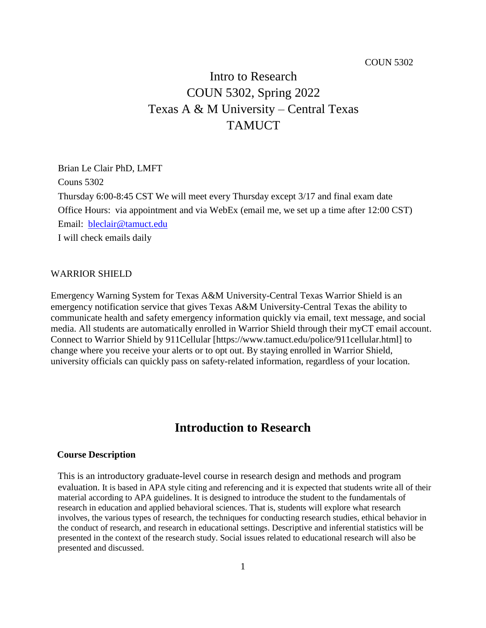#### COUN 5302

# Intro to Research COUN 5302, Spring 2022 Texas A & M University – Central Texas **TAMUCT**

Brian Le Clair PhD, LMFT Couns 5302 Thursday 6:00-8:45 CST We will meet every Thursday except 3/17 and final exam date Office Hours: via appointment and via WebEx (email me, we set up a time after 12:00 CST) Email: [bleclair@tamuct.edu](mailto:bleclair@tamuct.edu) I will check emails daily

#### WARRIOR SHIELD

Emergency Warning System for Texas A&M University-Central Texas Warrior Shield is an emergency notification service that gives Texas A&M University-Central Texas the ability to communicate health and safety emergency information quickly via email, text message, and social media. All students are automatically enrolled in Warrior Shield through their myCT email account. Connect to Warrior Shield by 911Cellular [https://www.tamuct.edu/police/911cellular.html] to change where you receive your alerts or to opt out. By staying enrolled in Warrior Shield, university officials can quickly pass on safety-related information, regardless of your location.

## **Introduction to Research**

#### **Course Description**

This is an introductory graduate-level course in research design and methods and program evaluation. It is based in APA style citing and referencing and it is expected that students write all of their material according to APA guidelines. It is designed to introduce the student to the fundamentals of research in education and applied behavioral sciences. That is, students will explore what research involves, the various types of research, the techniques for conducting research studies, ethical behavior in the conduct of research, and research in educational settings. Descriptive and inferential statistics will be presented in the context of the research study. Social issues related to educational research will also be presented and discussed.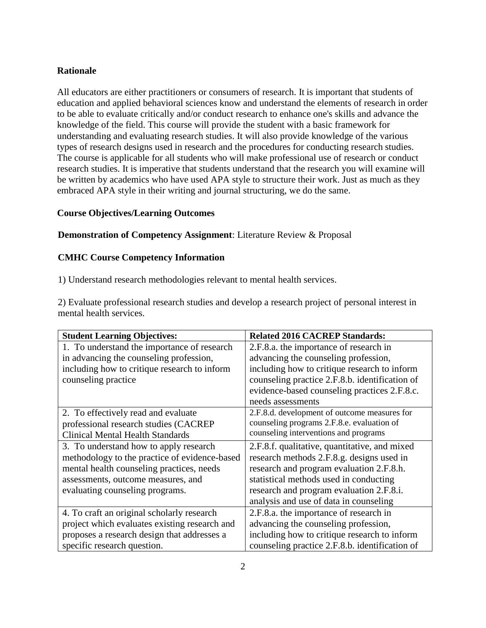## **Rationale**

All educators are either practitioners or consumers of research. It is important that students of education and applied behavioral sciences know and understand the elements of research in order to be able to evaluate critically and/or conduct research to enhance one's skills and advance the knowledge of the field. This course will provide the student with a basic framework for understanding and evaluating research studies. It will also provide knowledge of the various types of research designs used in research and the procedures for conducting research studies. The course is applicable for all students who will make professional use of research or conduct research studies. It is imperative that students understand that the research you will examine will be written by academics who have used APA style to structure their work. Just as much as they embraced APA style in their writing and journal structuring, we do the same.

## **Course Objectives/Learning Outcomes**

#### **Demonstration of Competency Assignment**: Literature Review & Proposal

#### **CMHC Course Competency Information**

1) Understand research methodologies relevant to mental health services.

2) Evaluate professional research studies and develop a research project of personal interest in mental health services.

| <b>Student Learning Objectives:</b>           | <b>Related 2016 CACREP Standards:</b>          |
|-----------------------------------------------|------------------------------------------------|
| 1. To understand the importance of research   | 2.F.8.a. the importance of research in         |
| in advancing the counseling profession,       | advancing the counseling profession,           |
| including how to critique research to inform  | including how to critique research to inform   |
| counseling practice                           | counseling practice 2.F.8.b. identification of |
|                                               | evidence-based counseling practices 2.F.8.c.   |
|                                               | needs assessments                              |
| 2. To effectively read and evaluate           | 2.F.8.d. development of outcome measures for   |
| professional research studies (CACREP         | counseling programs 2.F.8.e. evaluation of     |
| <b>Clinical Mental Health Standards</b>       | counseling interventions and programs          |
| 3. To understand how to apply research        | 2.F.8.f. qualitative, quantitative, and mixed  |
| methodology to the practice of evidence-based | research methods 2.F.8.g. designs used in      |
| mental health counseling practices, needs     | research and program evaluation 2.F.8.h.       |
| assessments, outcome measures, and            | statistical methods used in conducting         |
| evaluating counseling programs.               | research and program evaluation 2.F.8.i.       |
|                                               | analysis and use of data in counseling         |
| 4. To craft an original scholarly research    | 2.F.8.a. the importance of research in         |
| project which evaluates existing research and | advancing the counseling profession,           |
| proposes a research design that addresses a   | including how to critique research to inform   |
| specific research question.                   | counseling practice 2.F.8.b. identification of |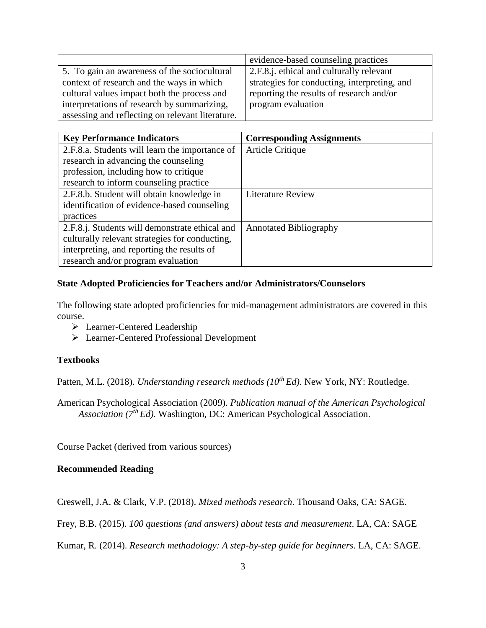|                                                  | evidence-based counseling practices          |  |
|--------------------------------------------------|----------------------------------------------|--|
| 5. To gain an awareness of the sociocultural     | 2.F.8.j. ethical and culturally relevant     |  |
| context of research and the ways in which        | strategies for conducting, interpreting, and |  |
| cultural values impact both the process and      | reporting the results of research and/or     |  |
| interpretations of research by summarizing,      | program evaluation                           |  |
| assessing and reflecting on relevant literature. |                                              |  |

| <b>Key Performance Indicators</b>              | <b>Corresponding Assignments</b> |
|------------------------------------------------|----------------------------------|
| 2.F.8.a. Students will learn the importance of | <b>Article Critique</b>          |
| research in advancing the counseling           |                                  |
| profession, including how to critique          |                                  |
| research to inform counseling practice         |                                  |
| 2.F.8.b. Student will obtain knowledge in      | <b>Literature Review</b>         |
| identification of evidence-based counseling    |                                  |
| practices                                      |                                  |
| 2.F.8.j. Students will demonstrate ethical and | <b>Annotated Bibliography</b>    |
| culturally relevant strategies for conducting, |                                  |
| interpreting, and reporting the results of     |                                  |
| research and/or program evaluation             |                                  |

## **State Adopted Proficiencies for Teachers and/or Administrators/Counselors**

The following state adopted proficiencies for mid-management administrators are covered in this course.

- Learner-Centered Leadership
- Learner-Centered Professional Development

#### **Textbooks**

Patten, M.L. (2018). *Understanding research methods (10th Ed).* New York, NY: Routledge.

American Psychological Association (2009). *Publication manual of the American Psychological Association (7th Ed).* Washington, DC: American Psychological Association.

Course Packet (derived from various sources)

#### **Recommended Reading**

Creswell, J.A. & Clark, V.P. (2018). *Mixed methods research*. Thousand Oaks, CA: SAGE.

Frey, B.B. (2015). *100 questions (and answers) about tests and measurement*. LA, CA: SAGE

Kumar, R. (2014). *Research methodology: A step-by-step guide for beginners*. LA, CA: SAGE.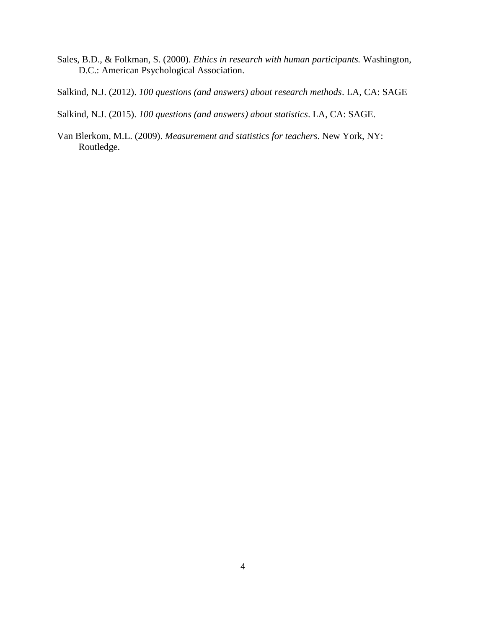- Sales, B.D., & Folkman, S. (2000). *Ethics in research with human participants.* Washington, D.C.: American Psychological Association.
- Salkind, N.J. (2012). *100 questions (and answers) about research methods*. LA, CA: SAGE
- Salkind, N.J. (2015). *100 questions (and answers) about statistics*. LA, CA: SAGE.
- Van Blerkom, M.L. (2009). *Measurement and statistics for teachers*. New York, NY: Routledge.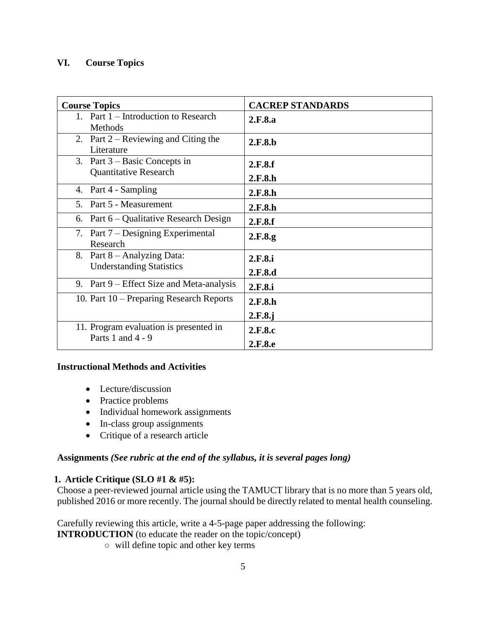## **VI. Course Topics**

| <b>Course Topics</b>                                            | <b>CACREP STANDARDS</b> |  |
|-----------------------------------------------------------------|-------------------------|--|
| 1. Part 1 – Introduction to Research<br>Methods                 | 2.F.8.a                 |  |
| 2. Part $2 -$ Reviewing and Citing the<br>Literature            | 2.F.8.b                 |  |
| 3. Part $3 - Basic Concepts$ in<br><b>Quantitative Research</b> | 2.F.8.f<br>2.F.8.h      |  |
| Part 4 - Sampling<br>4.                                         | 2.F.8.h                 |  |
| Part 5 - Measurement<br>.5                                      | 2.F.8.h                 |  |
| Part 6 – Qualitative Research Design<br>6.                      | 2.F.8.f                 |  |
| 7. Part 7 – Designing Experimental<br>Research                  | 2.F.8.g                 |  |
| 8. Part 8 – Analyzing Data:<br><b>Understanding Statistics</b>  | 2.F.8.i<br>2.F.8.d      |  |
| 9. Part 9 – Effect Size and Meta-analysis                       | 2.F.8.i                 |  |
| 10. Part 10 – Preparing Research Reports                        | 2.F.8.h<br>2.F.8.j      |  |
| 11. Program evaluation is presented in<br>Parts 1 and $4 - 9$   | 2.F.8.c<br>2.F.8.e      |  |

## **Instructional Methods and Activities**

- Lecture/discussion
- Practice problems
- Individual homework assignments
- In-class group assignments
- Critique of a research article

## **Assignments** *(See rubric at the end of the syllabus, it is several pages long)*

## **1. Article Critique (SLO #1 & #5):**

Choose a peer-reviewed journal article using the TAMUCT library that is no more than 5 years old, published 2016 or more recently. The journal should be directly related to mental health counseling.

Carefully reviewing this article, write a 4-5-page paper addressing the following:

- **INTRODUCTION** (to educate the reader on the topic/concept)
	- will define topic and other key terms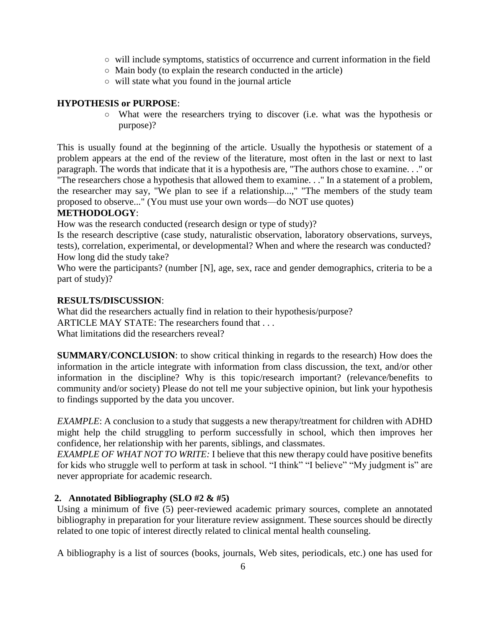- will include symptoms, statistics of occurrence and current information in the field
- $\circ$  Main body (to explain the research conducted in the article)
- will state what you found in the journal article

## **HYPOTHESIS or PURPOSE**:

○ What were the researchers trying to discover (i.e. what was the hypothesis or purpose)?

This is usually found at the beginning of the article. Usually the hypothesis or statement of a problem appears at the end of the review of the literature, most often in the last or next to last paragraph. The words that indicate that it is a hypothesis are, "The authors chose to examine. . ." or "The researchers chose a hypothesis that allowed them to examine. . ." In a statement of a problem, the researcher may say, "We plan to see if a relationship...," "The members of the study team proposed to observe..." (You must use your own words—do NOT use quotes)

## **METHODOLOGY**:

How was the research conducted (research design or type of study)?

Is the research descriptive (case study, naturalistic observation, laboratory observations, surveys, tests), correlation, experimental, or developmental? When and where the research was conducted? How long did the study take?

Who were the participants? (number [N], age, sex, race and gender demographics, criteria to be a part of study)?

## **RESULTS/DISCUSSION**:

What did the researchers actually find in relation to their hypothesis/purpose? ARTICLE MAY STATE: The researchers found that . . . What limitations did the researchers reveal?

**SUMMARY/CONCLUSION**: to show critical thinking in regards to the research) How does the information in the article integrate with information from class discussion, the text, and/or other information in the discipline? Why is this topic/research important? (relevance/benefits to community and/or society) Please do not tell me your subjective opinion, but link your hypothesis to findings supported by the data you uncover.

*EXAMPLE*: A conclusion to a study that suggests a new therapy/treatment for children with ADHD might help the child struggling to perform successfully in school, which then improves her confidence, her relationship with her parents, siblings, and classmates.

*EXAMPLE OF WHAT NOT TO WRITE:* I believe that this new therapy could have positive benefits for kids who struggle well to perform at task in school. "I think" "I believe" "My judgment is" are never appropriate for academic research.

## **2. Annotated Bibliography (SLO #2 & #5)**

Using a minimum of five (5) peer-reviewed academic primary sources, complete an annotated bibliography in preparation for your literature review assignment. These sources should be directly related to one topic of interest directly related to clinical mental health counseling.

A bibliography is a list of sources (books, journals, Web sites, periodicals, etc.) one has used for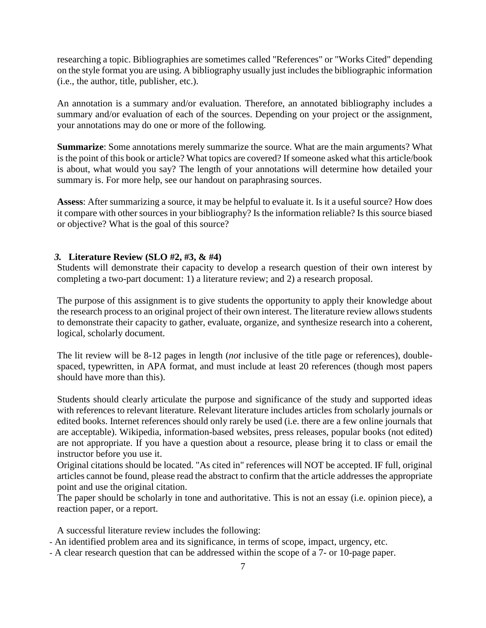researching a topic. Bibliographies are sometimes called "References" or "Works Cited" depending on the style format you are using. A bibliography usually just includes the bibliographic information (i.e., the author, title, publisher, etc.).

An annotation is a summary and/or evaluation. Therefore, an annotated bibliography includes a summary and/or evaluation of each of the sources. Depending on your project or the assignment, your annotations may do one or more of the following.

**Summarize**: Some annotations merely summarize the source. What are the main arguments? What is the point of this book or article? What topics are covered? If someone asked what this article/book is about, what would you say? The length of your annotations will determine how detailed your summary is. For more help, see our handout on paraphrasing sources.

**Assess**: After summarizing a source, it may be helpful to evaluate it. Is it a useful source? How does it compare with other sources in your bibliography? Is the information reliable? Is this source biased or objective? What is the goal of this source?

## *3.* **Literature Review (SLO #2, #3, & #4)**

Students will demonstrate their capacity to develop a research question of their own interest by completing a two-part document: 1) a literature review; and 2) a research proposal.

The purpose of this assignment is to give students the opportunity to apply their knowledge about the research process to an original project of their own interest. The literature review allows students to demonstrate their capacity to gather, evaluate, organize, and synthesize research into a coherent, logical, scholarly document.

The lit review will be 8-12 pages in length (*not* inclusive of the title page or references), doublespaced, typewritten, in APA format, and must include at least 20 references (though most papers should have more than this).

Students should clearly articulate the purpose and significance of the study and supported ideas with references to relevant literature. Relevant literature includes articles from scholarly journals or edited books. Internet references should only rarely be used (i.e. there are a few online journals that are acceptable). Wikipedia, information-based websites, press releases, popular books (not edited) are not appropriate. If you have a question about a resource, please bring it to class or email the instructor before you use it.

Original citations should be located. "As cited in" references will NOT be accepted. IF full, original articles cannot be found, please read the abstract to confirm that the article addresses the appropriate point and use the original citation.

The paper should be scholarly in tone and authoritative. This is not an essay (i.e. opinion piece), a reaction paper, or a report.

A successful literature review includes the following:

- An identified problem area and its significance, in terms of scope, impact, urgency, etc.
- A clear research question that can be addressed within the scope of a 7- or 10-page paper.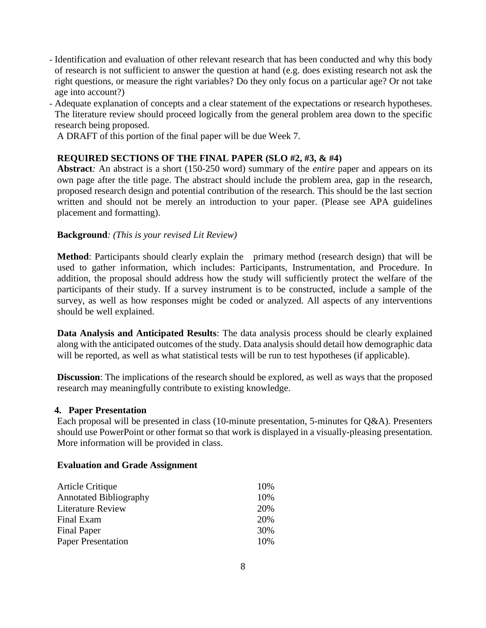- Identification and evaluation of other relevant research that has been conducted and why this body of research is not sufficient to answer the question at hand (e.g. does existing research not ask the right questions, or measure the right variables? Do they only focus on a particular age? Or not take age into account?)
- Adequate explanation of concepts and a clear statement of the expectations or research hypotheses. The literature review should proceed logically from the general problem area down to the specific research being proposed.

A DRAFT of this portion of the final paper will be due Week 7.

## **REQUIRED SECTIONS OF THE FINAL PAPER (SLO #2, #3, & #4)**

**Abstract***:* An abstract is a short (150-250 word) summary of the *entire* paper and appears on its own page after the title page. The abstract should include the problem area, gap in the research, proposed research design and potential contribution of the research. This should be the last section written and should not be merely an introduction to your paper. (Please see APA guidelines placement and formatting).

## **Background***: (This is your revised Lit Review)*

**Method**: Participants should clearly explain the primary method (research design) that will be used to gather information, which includes: Participants, Instrumentation, and Procedure. In addition, the proposal should address how the study will sufficiently protect the welfare of the participants of their study. If a survey instrument is to be constructed, include a sample of the survey, as well as how responses might be coded or analyzed. All aspects of any interventions should be well explained.

**Data Analysis and Anticipated Results**: The data analysis process should be clearly explained along with the anticipated outcomes of the study. Data analysis should detail how demographic data will be reported, as well as what statistical tests will be run to test hypotheses (if applicable).

**Discussion**: The implications of the research should be explored, as well as ways that the proposed research may meaningfully contribute to existing knowledge.

#### **4. Paper Presentation**

Each proposal will be presented in class (10-minute presentation, 5-minutes for Q&A). Presenters should use PowerPoint or other format so that work is displayed in a visually-pleasing presentation. More information will be provided in class.

#### **Evaluation and Grade Assignment**

| Article Critique              | 10% |
|-------------------------------|-----|
| <b>Annotated Bibliography</b> | 10% |
| <b>Literature Review</b>      | 20% |
| Final Exam                    | 20% |
| <b>Final Paper</b>            | 30% |
| <b>Paper Presentation</b>     | 10% |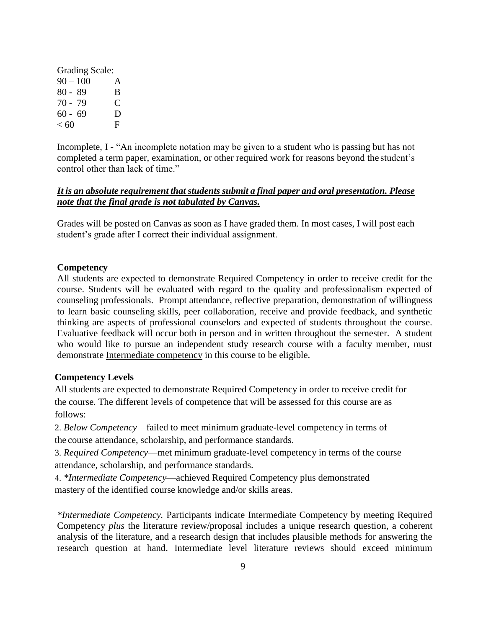| Grading Scale: |   |
|----------------|---|
| $90 - 100$     | A |
| $80 - 89$      | B |
| $70 - 79$      | € |
| $60 - 69$      | Ð |
| < 60           | F |

Incomplete, I - "An incomplete notation may be given to a student who is passing but has not completed a term paper, examination, or other required work for reasons beyond the student's control other than lack of time."

## *It is an absolute requirement that students submit a final paper and oral presentation. Please note that the final grade is not tabulated by Canvas.*

Grades will be posted on Canvas as soon as I have graded them. In most cases, I will post each student's grade after I correct their individual assignment.

## **Competency**

All students are expected to demonstrate Required Competency in order to receive credit for the course. Students will be evaluated with regard to the quality and professionalism expected of counseling professionals. Prompt attendance, reflective preparation, demonstration of willingness to learn basic counseling skills, peer collaboration, receive and provide feedback, and synthetic thinking are aspects of professional counselors and expected of students throughout the course. Evaluative feedback will occur both in person and in written throughout the semester. A student who would like to pursue an independent study research course with a faculty member, must demonstrate Intermediate competency in this course to be eligible.

## **Competency Levels**

All students are expected to demonstrate Required Competency in order to receive credit for the course. The different levels of competence that will be assessed for this course are as follows:

2. *Below Competency*—failed to meet minimum graduate-level competency in terms of the course attendance, scholarship, and performance standards.

3. *Required Competency*—met minimum graduate-level competency in terms of the course attendance, scholarship, and performance standards.

4. *\*Intermediate Competency*—achieved Required Competency plus demonstrated mastery of the identified course knowledge and/or skills areas.

*\*Intermediate Competency.* Participants indicate Intermediate Competency by meeting Required Competency *plus* the literature review/proposal includes a unique research question, a coherent analysis of the literature, and a research design that includes plausible methods for answering the research question at hand. Intermediate level literature reviews should exceed minimum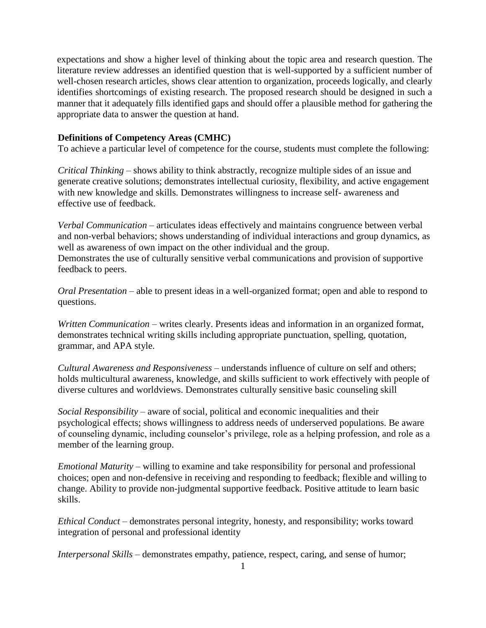expectations and show a higher level of thinking about the topic area and research question. The literature review addresses an identified question that is well-supported by a sufficient number of well-chosen research articles, shows clear attention to organization, proceeds logically, and clearly identifies shortcomings of existing research. The proposed research should be designed in such a manner that it adequately fills identified gaps and should offer a plausible method for gathering the appropriate data to answer the question at hand.

#### **Definitions of Competency Areas (CMHC)**

To achieve a particular level of competence for the course, students must complete the following:

*Critical Thinking* – shows ability to think abstractly, recognize multiple sides of an issue and generate creative solutions; demonstrates intellectual curiosity, flexibility, and active engagement with new knowledge and skills. Demonstrates willingness to increase self- awareness and effective use of feedback.

*Verbal Communication* – articulates ideas effectively and maintains congruence between verbal and non-verbal behaviors; shows understanding of individual interactions and group dynamics, as well as awareness of own impact on the other individual and the group. Demonstrates the use of culturally sensitive verbal communications and provision of supportive feedback to peers.

*Oral Presentation* – able to present ideas in a well-organized format; open and able to respond to questions.

*Written Communication* – writes clearly. Presents ideas and information in an organized format, demonstrates technical writing skills including appropriate punctuation, spelling, quotation, grammar, and APA style.

*Cultural Awareness and Responsiveness* – understands influence of culture on self and others; holds multicultural awareness, knowledge, and skills sufficient to work effectively with people of diverse cultures and worldviews. Demonstrates culturally sensitive basic counseling skill

*Social Responsibility* – aware of social, political and economic inequalities and their psychological effects; shows willingness to address needs of underserved populations. Be aware of counseling dynamic, including counselor's privilege, role as a helping profession, and role as a member of the learning group.

*Emotional Maturity* – willing to examine and take responsibility for personal and professional choices; open and non-defensive in receiving and responding to feedback; flexible and willing to change. Ability to provide non-judgmental supportive feedback. Positive attitude to learn basic skills.

*Ethical Conduct* – demonstrates personal integrity, honesty, and responsibility; works toward integration of personal and professional identity

*Interpersonal Skills* – demonstrates empathy, patience, respect, caring, and sense of humor;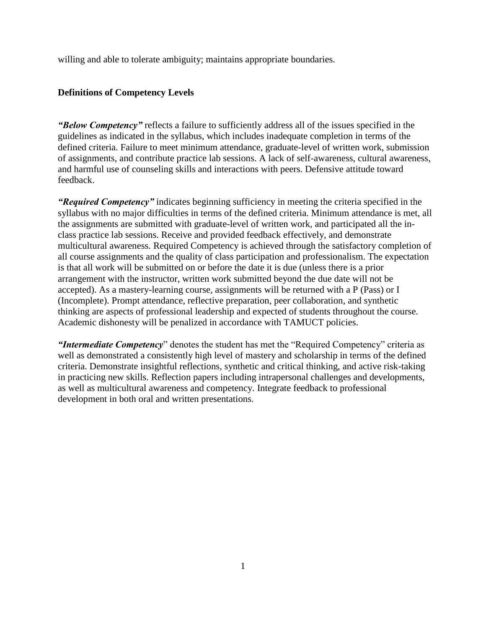willing and able to tolerate ambiguity; maintains appropriate boundaries.

#### **Definitions of Competency Levels**

*"Below Competency"* reflects a failure to sufficiently address all of the issues specified in the guidelines as indicated in the syllabus, which includes inadequate completion in terms of the defined criteria. Failure to meet minimum attendance, graduate-level of written work, submission of assignments, and contribute practice lab sessions. A lack of self-awareness, cultural awareness, and harmful use of counseling skills and interactions with peers. Defensive attitude toward feedback.

*"Required Competency"* indicates beginning sufficiency in meeting the criteria specified in the syllabus with no major difficulties in terms of the defined criteria. Minimum attendance is met, all the assignments are submitted with graduate-level of written work, and participated all the inclass practice lab sessions. Receive and provided feedback effectively, and demonstrate multicultural awareness. Required Competency is achieved through the satisfactory completion of all course assignments and the quality of class participation and professionalism. The expectation is that all work will be submitted on or before the date it is due (unless there is a prior arrangement with the instructor, written work submitted beyond the due date will not be accepted). As a mastery-learning course, assignments will be returned with a P (Pass) or I (Incomplete). Prompt attendance, reflective preparation, peer collaboration, and synthetic thinking are aspects of professional leadership and expected of students throughout the course. Academic dishonesty will be penalized in accordance with TAMUCT policies.

*"Intermediate Competency*" denotes the student has met the "Required Competency" criteria as well as demonstrated a consistently high level of mastery and scholarship in terms of the defined criteria. Demonstrate insightful reflections, synthetic and critical thinking, and active risk-taking in practicing new skills. Reflection papers including intrapersonal challenges and developments, as well as multicultural awareness and competency. Integrate feedback to professional development in both oral and written presentations.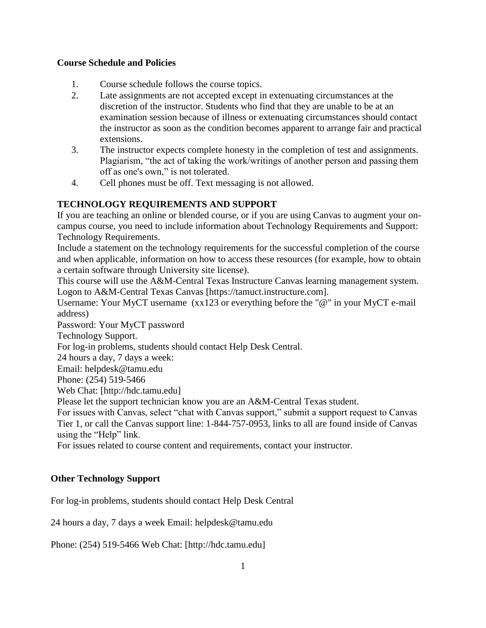## **Course Schedule and Policies**

- 1. Course schedule follows the course topics.
- 2. Late assignments are not accepted except in extenuating circumstances at the discretion of the instructor. Students who find that they are unable to be at an examination session because of illness or extenuating circumstances should contact the instructor as soon as the condition becomes apparent to arrange fair and practical extensions.
- 3. The instructor expects complete honesty in the completion of test and assignments. Plagiarism, "the act of taking the work/writings of another person and passing them off as one's own," is not tolerated.
- 4. Cell phones must be off. Text messaging is not allowed.

## **TECHNOLOGY REQUIREMENTS AND SUPPORT**

If you are teaching an online or blended course, or if you are using Canvas to augment your oncampus course, you need to include information about Technology Requirements and Support: Technology Requirements.

Include a statement on the technology requirements for the successful completion of the course and when applicable, information on how to access these resources (for example, how to obtain a certain software through University site license).

This course will use the A&M-Central Texas Instructure Canvas learning management system. Logon to A&M-Central Texas Canvas [https://tamuct.instructure.com].

Username: Your MyCT username (xx123 or everything before the "@" in your MyCT e-mail address)

Password: Your MyCT password

Technology Support.

For log-in problems, students should contact Help Desk Central.

24 hours a day, 7 days a week:

Email: helpdesk@tamu.edu

Phone: (254) 519-5466

Web Chat: [http://hdc.tamu.edu]

Please let the support technician know you are an A&M-Central Texas student.

For issues with Canvas, select "chat with Canvas support," submit a support request to Canvas Tier 1, or call the Canvas support line: 1-844-757-0953, links to all are found inside of Canvas using the "Help" link.

For issues related to course content and requirements, contact your instructor.

## **Other Technology Support**

For log-in problems, students should contact Help Desk Central

24 hours a day, 7 days a week Email: helpdesk@tamu.edu

Phone: (254) 519-5466 Web Chat: [http://hdc.tamu.edu]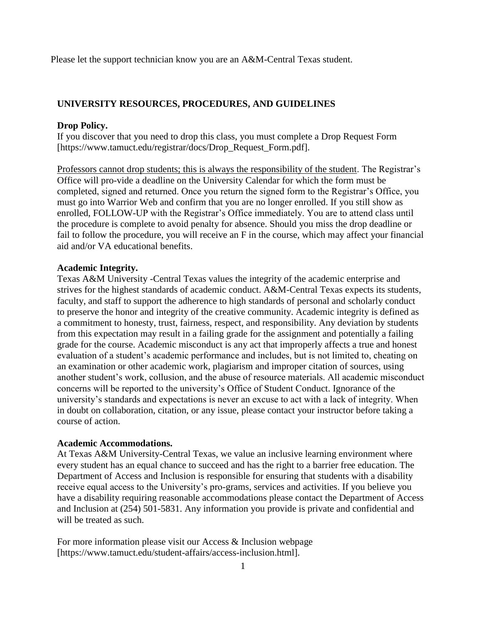Please let the support technician know you are an A&M-Central Texas student.

#### **UNIVERSITY RESOURCES, PROCEDURES, AND GUIDELINES**

#### **Drop Policy.**

If you discover that you need to drop this class, you must complete a Drop Request Form [https://www.tamuct.edu/registrar/docs/Drop\_Request\_Form.pdf].

Professors cannot drop students; this is always the responsibility of the student. The Registrar's Office will pro-vide a deadline on the University Calendar for which the form must be completed, signed and returned. Once you return the signed form to the Registrar's Office, you must go into Warrior Web and confirm that you are no longer enrolled. If you still show as enrolled, FOLLOW-UP with the Registrar's Office immediately. You are to attend class until the procedure is complete to avoid penalty for absence. Should you miss the drop deadline or fail to follow the procedure, you will receive an F in the course, which may affect your financial aid and/or VA educational benefits.

#### **Academic Integrity.**

Texas A&M University -Central Texas values the integrity of the academic enterprise and strives for the highest standards of academic conduct. A&M-Central Texas expects its students, faculty, and staff to support the adherence to high standards of personal and scholarly conduct to preserve the honor and integrity of the creative community. Academic integrity is defined as a commitment to honesty, trust, fairness, respect, and responsibility. Any deviation by students from this expectation may result in a failing grade for the assignment and potentially a failing grade for the course. Academic misconduct is any act that improperly affects a true and honest evaluation of a student's academic performance and includes, but is not limited to, cheating on an examination or other academic work, plagiarism and improper citation of sources, using another student's work, collusion, and the abuse of resource materials. All academic misconduct concerns will be reported to the university's Office of Student Conduct. Ignorance of the university's standards and expectations is never an excuse to act with a lack of integrity. When in doubt on collaboration, citation, or any issue, please contact your instructor before taking a course of action.

#### **Academic Accommodations.**

At Texas A&M University-Central Texas, we value an inclusive learning environment where every student has an equal chance to succeed and has the right to a barrier free education. The Department of Access and Inclusion is responsible for ensuring that students with a disability receive equal access to the University's pro-grams, services and activities. If you believe you have a disability requiring reasonable accommodations please contact the Department of Access and Inclusion at (254) 501-5831. Any information you provide is private and confidential and will be treated as such.

For more information please visit our Access & Inclusion webpage [https://www.tamuct.edu/student-affairs/access-inclusion.html].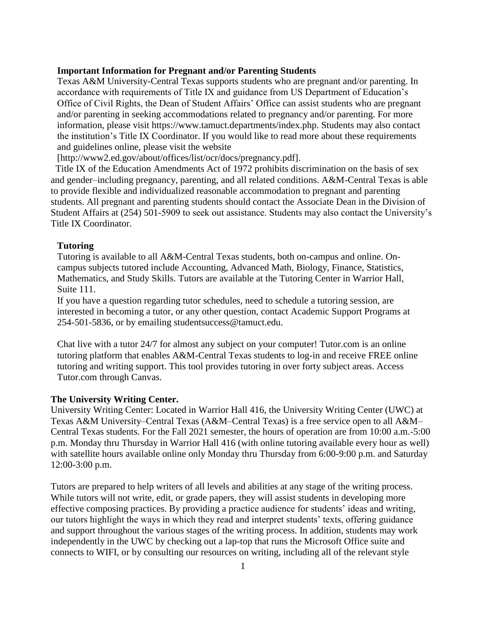#### **Important Information for Pregnant and/or Parenting Students**

Texas A&M University-Central Texas supports students who are pregnant and/or parenting. In accordance with requirements of Title IX and guidance from US Department of Education's Office of Civil Rights, the Dean of Student Affairs' Office can assist students who are pregnant and/or parenting in seeking accommodations related to pregnancy and/or parenting. For more information, please visit https://www.tamuct.departments/index.php. Students may also contact the institution's Title IX Coordinator. If you would like to read more about these requirements and guidelines online, please visit the website

[http://www2.ed.gov/about/offices/list/ocr/docs/pregnancy.pdf].

 Title IX of the Education Amendments Act of 1972 prohibits discrimination on the basis of sex and gender–including pregnancy, parenting, and all related conditions. A&M-Central Texas is able to provide flexible and individualized reasonable accommodation to pregnant and parenting students. All pregnant and parenting students should contact the Associate Dean in the Division of Student Affairs at (254) 501-5909 to seek out assistance. Students may also contact the University's Title IX Coordinator.

#### **Tutoring**

Tutoring is available to all A&M-Central Texas students, both on-campus and online. Oncampus subjects tutored include Accounting, Advanced Math, Biology, Finance, Statistics, Mathematics, and Study Skills. Tutors are available at the Tutoring Center in Warrior Hall, Suite 111.

If you have a question regarding tutor schedules, need to schedule a tutoring session, are interested in becoming a tutor, or any other question, contact Academic Support Programs at 254-501-5836, or by emailing studentsuccess@tamuct.edu.

Chat live with a tutor 24/7 for almost any subject on your computer! Tutor.com is an online tutoring platform that enables A&M-Central Texas students to log-in and receive FREE online tutoring and writing support. This tool provides tutoring in over forty subject areas. Access Tutor.com through Canvas.

#### **The University Writing Center.**

University Writing Center: Located in Warrior Hall 416, the University Writing Center (UWC) at Texas A&M University–Central Texas (A&M–Central Texas) is a free service open to all A&M– Central Texas students. For the Fall 2021 semester, the hours of operation are from 10:00 a.m.-5:00 p.m. Monday thru Thursday in Warrior Hall 416 (with online tutoring available every hour as well) with satellite hours available online only Monday thru Thursday from 6:00-9:00 p.m. and Saturday 12:00-3:00 p.m.

Tutors are prepared to help writers of all levels and abilities at any stage of the writing process. While tutors will not write, edit, or grade papers, they will assist students in developing more effective composing practices. By providing a practice audience for students' ideas and writing, our tutors highlight the ways in which they read and interpret students' texts, offering guidance and support throughout the various stages of the writing process. In addition, students may work independently in the UWC by checking out a lap-top that runs the Microsoft Office suite and connects to WIFI, or by consulting our resources on writing, including all of the relevant style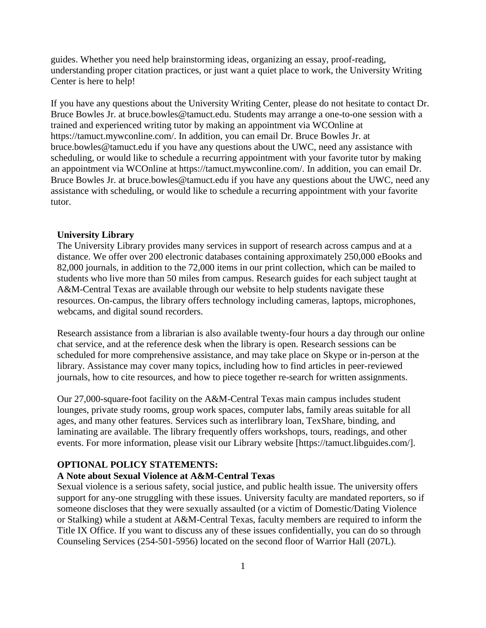guides. Whether you need help brainstorming ideas, organizing an essay, proof-reading, understanding proper citation practices, or just want a quiet place to work, the University Writing Center is here to help!

If you have any questions about the University Writing Center, please do not hesitate to contact Dr. Bruce Bowles Jr. at bruce.bowles@tamuct.edu. Students may arrange a one-to-one session with a trained and experienced writing tutor by making an appointment via WCOnline at https://tamuct.mywconline.com/. In addition, you can email Dr. Bruce Bowles Jr. at bruce.bowles@tamuct.edu if you have any questions about the UWC, need any assistance with scheduling, or would like to schedule a recurring appointment with your favorite tutor by making an appointment via WCOnline at https://tamuct.mywconline.com/. In addition, you can email Dr. Bruce Bowles Jr. at bruce.bowles@tamuct.edu if you have any questions about the UWC, need any assistance with scheduling, or would like to schedule a recurring appointment with your favorite tutor.

#### **University Library**

The University Library provides many services in support of research across campus and at a distance. We offer over 200 electronic databases containing approximately 250,000 eBooks and 82,000 journals, in addition to the 72,000 items in our print collection, which can be mailed to students who live more than 50 miles from campus. Research guides for each subject taught at A&M-Central Texas are available through our website to help students navigate these resources. On-campus, the library offers technology including cameras, laptops, microphones, webcams, and digital sound recorders.

Research assistance from a librarian is also available twenty-four hours a day through our online chat service, and at the reference desk when the library is open. Research sessions can be scheduled for more comprehensive assistance, and may take place on Skype or in-person at the library. Assistance may cover many topics, including how to find articles in peer-reviewed journals, how to cite resources, and how to piece together re-search for written assignments.

Our 27,000-square-foot facility on the A&M-Central Texas main campus includes student lounges, private study rooms, group work spaces, computer labs, family areas suitable for all ages, and many other features. Services such as interlibrary loan, TexShare, binding, and laminating are available. The library frequently offers workshops, tours, readings, and other events. For more information, please visit our Library website [https://tamuct.libguides.com/].

#### **OPTIONAL POLICY STATEMENTS:**

#### **A Note about Sexual Violence at A&M-Central Texas**

Sexual violence is a serious safety, social justice, and public health issue. The university offers support for any-one struggling with these issues. University faculty are mandated reporters, so if someone discloses that they were sexually assaulted (or a victim of Domestic/Dating Violence or Stalking) while a student at A&M-Central Texas, faculty members are required to inform the Title IX Office. If you want to discuss any of these issues confidentially, you can do so through Counseling Services (254-501-5956) located on the second floor of Warrior Hall (207L).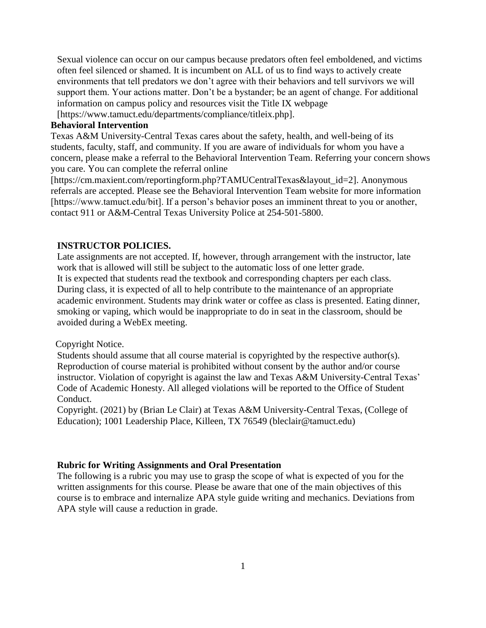Sexual violence can occur on our campus because predators often feel emboldened, and victims often feel silenced or shamed. It is incumbent on ALL of us to find ways to actively create environments that tell predators we don't agree with their behaviors and tell survivors we will support them. Your actions matter. Don't be a bystander; be an agent of change. For additional information on campus policy and resources visit the Title IX webpage [https://www.tamuct.edu/departments/compliance/titleix.php].

## **Behavioral Intervention**

Texas A&M University-Central Texas cares about the safety, health, and well-being of its students, faculty, staff, and community. If you are aware of individuals for whom you have a concern, please make a referral to the Behavioral Intervention Team. Referring your concern shows you care. You can complete the referral online

[https://cm.maxient.com/reportingform.php?TAMUCentralTexas&layout\_id=2]. Anonymous referrals are accepted. Please see the Behavioral Intervention Team website for more information [https://www.tamuct.edu/bit]. If a person's behavior poses an imminent threat to you or another, contact 911 or A&M-Central Texas University Police at 254-501-5800.

#### **INSTRUCTOR POLICIES.**

Late assignments are not accepted. If, however, through arrangement with the instructor, late work that is allowed will still be subject to the automatic loss of one letter grade. It is expected that students read the textbook and corresponding chapters per each class. During class, it is expected of all to help contribute to the maintenance of an appropriate academic environment. Students may drink water or coffee as class is presented. Eating dinner, smoking or vaping, which would be inappropriate to do in seat in the classroom, should be avoided during a WebEx meeting.

#### Copyright Notice.

Students should assume that all course material is copyrighted by the respective author(s). Reproduction of course material is prohibited without consent by the author and/or course instructor. Violation of copyright is against the law and Texas A&M University-Central Texas' Code of Academic Honesty. All alleged violations will be reported to the Office of Student Conduct.

Copyright. (2021) by (Brian Le Clair) at Texas A&M University-Central Texas, (College of Education); 1001 Leadership Place, Killeen, TX 76549 (bleclair@tamuct.edu)

#### **Rubric for Writing Assignments and Oral Presentation**

The following is a rubric you may use to grasp the scope of what is expected of you for the written assignments for this course. Please be aware that one of the main objectives of this course is to embrace and internalize APA style guide writing and mechanics. Deviations from APA style will cause a reduction in grade.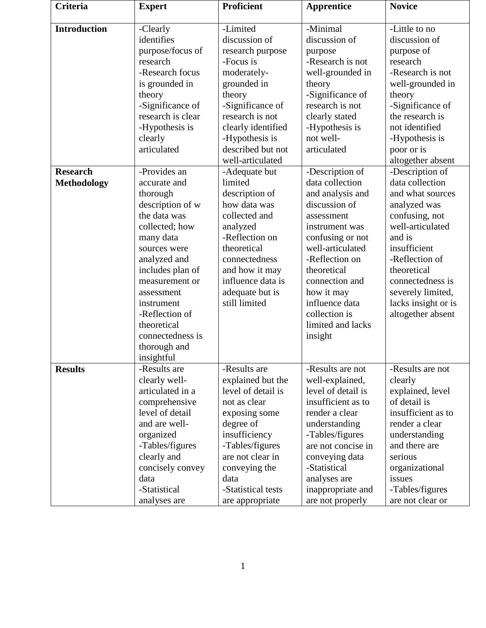| <b>Criteria</b>     | <b>Expert</b>     | <b>Proficient</b>  | <b>Apprentice</b>           | <b>Novice</b>       |
|---------------------|-------------------|--------------------|-----------------------------|---------------------|
| <b>Introduction</b> | -Clearly          | -Limited           | -Minimal                    | -Little to no       |
|                     | identifies        | discussion of      | discussion of               | discussion of       |
|                     | purpose/focus of  | research purpose   |                             | purpose of          |
|                     | research          | -Focus is          | purpose<br>-Research is not | research            |
|                     | -Research focus   |                    |                             | -Research is not    |
|                     |                   | moderately-        | well-grounded in            |                     |
|                     | is grounded in    | grounded in        | theory                      | well-grounded in    |
|                     | theory            | theory             | -Significance of            | theory              |
|                     | -Significance of  | -Significance of   | research is not             | -Significance of    |
|                     | research is clear | research is not    | clearly stated              | the research is     |
|                     | -Hypothesis is    | clearly identified | -Hypothesis is              | not identified      |
|                     | clearly           | -Hypothesis is     | not well-                   | -Hypothesis is      |
|                     | articulated       | described but not  | articulated                 | poor or is          |
|                     |                   | well-articulated   |                             | altogether absent   |
| <b>Research</b>     | -Provides an      | -Adequate but      | -Description of             | -Description of     |
| <b>Methodology</b>  | accurate and      | limited            | data collection             | data collection     |
|                     | thorough          | description of     | and analysis and            | and what sources    |
|                     | description of w  | how data was       | discussion of               | analyzed was        |
|                     | the data was      | collected and      | assessment                  | confusing, not      |
|                     | collected; how    | analyzed           | instrument was              | well-articulated    |
|                     | many data         | -Reflection on     | confusing or not            | and is              |
|                     | sources were      | theoretical        | well-articulated            | insufficient        |
|                     | analyzed and      | connectedness      | -Reflection on              | -Reflection of      |
|                     | includes plan of  | and how it may     | theoretical                 | theoretical         |
|                     | measurement or    | influence data is  | connection and              | connectedness is    |
|                     | assessment        | adequate but is    | how it may                  | severely limited,   |
|                     | instrument        | still limited      | influence data              | lacks insight or is |
|                     | -Reflection of    |                    | collection is               | altogether absent   |
|                     | theoretical       |                    | limited and lacks           |                     |
|                     | connectedness is  |                    | insight                     |                     |
|                     | thorough and      |                    |                             |                     |
|                     | insightful        |                    |                             |                     |
| <b>Results</b>      | -Results are      | -Results are       | -Results are not            | -Results are not    |
|                     | clearly well-     | explained but the  | well-explained,             | clearly             |
|                     | articulated in a  | level of detail is | level of detail is          | explained, level    |
|                     | comprehensive     | not as clear       | insufficient as to          | of detail is        |
|                     | level of detail   | exposing some      | render a clear              | insufficient as to  |
|                     | and are well-     | degree of          | understanding               | render a clear      |
|                     | organized         | insufficiency      | -Tables/figures             | understanding       |
|                     | -Tables/figures   | -Tables/figures    | are not concise in          | and there are       |
|                     | clearly and       | are not clear in   | conveying data              | serious             |
|                     | concisely convey  | conveying the      | -Statistical                | organizational      |
|                     | data              | data               | analyses are                | issues              |
|                     | -Statistical      | -Statistical tests | inappropriate and           | -Tables/figures     |
|                     | analyses are      | are appropriate    | are not properly            | are not clear or    |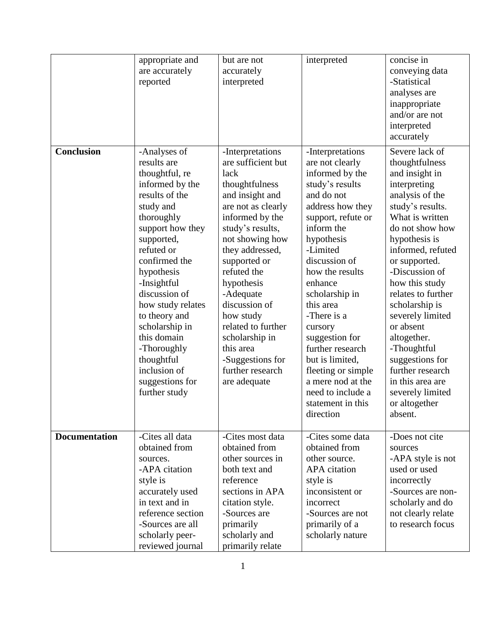| <b>Conclusion</b>    | appropriate and<br>are accurately<br>reported<br>-Analyses of<br>results are<br>thoughtful, re<br>informed by the<br>results of the<br>study and<br>thoroughly<br>support how they<br>supported,<br>refuted or<br>confirmed the<br>hypothesis<br>-Insightful<br>discussion of<br>how study relates<br>to theory and<br>scholarship in<br>this domain<br>-Thoroughly | but are not<br>accurately<br>interpreted<br>-Interpretations<br>are sufficient but<br>lack<br>thoughtfulness<br>and insight and<br>are not as clearly<br>informed by the<br>study's results,<br>not showing how<br>they addressed,<br>supported or<br>refuted the<br>hypothesis<br>-Adequate<br>discussion of<br>how study<br>related to further<br>scholarship in<br>this area | interpreted<br>-Interpretations<br>are not clearly<br>informed by the<br>study's results<br>and do not<br>address how they<br>support, refute or<br>inform the<br>hypothesis<br>-Limited<br>discussion of<br>how the results<br>enhance<br>scholarship in<br>this area<br>-There is a<br>cursory<br>suggestion for<br>further research | concise in<br>conveying data<br>-Statistical<br>analyses are<br>inappropriate<br>and/or are not<br>interpreted<br>accurately<br>Severe lack of<br>thoughtfulness<br>and insight in<br>interpreting<br>analysis of the<br>study's results.<br>What is written<br>do not show how<br>hypothesis is<br>informed, refuted<br>or supported.<br>-Discussion of<br>how this study<br>relates to further<br>scholarship is<br>severely limited<br>or absent<br>altogether.<br>-Thoughtful |
|----------------------|---------------------------------------------------------------------------------------------------------------------------------------------------------------------------------------------------------------------------------------------------------------------------------------------------------------------------------------------------------------------|---------------------------------------------------------------------------------------------------------------------------------------------------------------------------------------------------------------------------------------------------------------------------------------------------------------------------------------------------------------------------------|----------------------------------------------------------------------------------------------------------------------------------------------------------------------------------------------------------------------------------------------------------------------------------------------------------------------------------------|-----------------------------------------------------------------------------------------------------------------------------------------------------------------------------------------------------------------------------------------------------------------------------------------------------------------------------------------------------------------------------------------------------------------------------------------------------------------------------------|
|                      | thoughtful<br>inclusion of<br>suggestions for<br>further study                                                                                                                                                                                                                                                                                                      | -Suggestions for<br>further research<br>are adequate                                                                                                                                                                                                                                                                                                                            | but is limited,<br>fleeting or simple<br>a mere nod at the<br>need to include a<br>statement in this<br>direction                                                                                                                                                                                                                      | suggestions for<br>further research<br>in this area are<br>severely limited<br>or altogether<br>absent.                                                                                                                                                                                                                                                                                                                                                                           |
| <b>Documentation</b> | -Cites all data<br>obtained from<br>sources.<br>-APA citation<br>style is<br>accurately used<br>in text and in<br>reference section<br>-Sources are all<br>scholarly peer-<br>reviewed journal                                                                                                                                                                      | -Cites most data<br>obtained from<br>other sources in<br>both text and<br>reference<br>sections in APA<br>citation style.<br>-Sources are<br>primarily<br>scholarly and<br>primarily relate                                                                                                                                                                                     | -Cites some data<br>obtained from<br>other source.<br><b>APA</b> citation<br>style is<br>inconsistent or<br>incorrect<br>-Sources are not<br>primarily of a<br>scholarly nature                                                                                                                                                        | -Does not cite<br>sources<br>-APA style is not<br>used or used<br>incorrectly<br>-Sources are non-<br>scholarly and do<br>not clearly relate<br>to research focus                                                                                                                                                                                                                                                                                                                 |